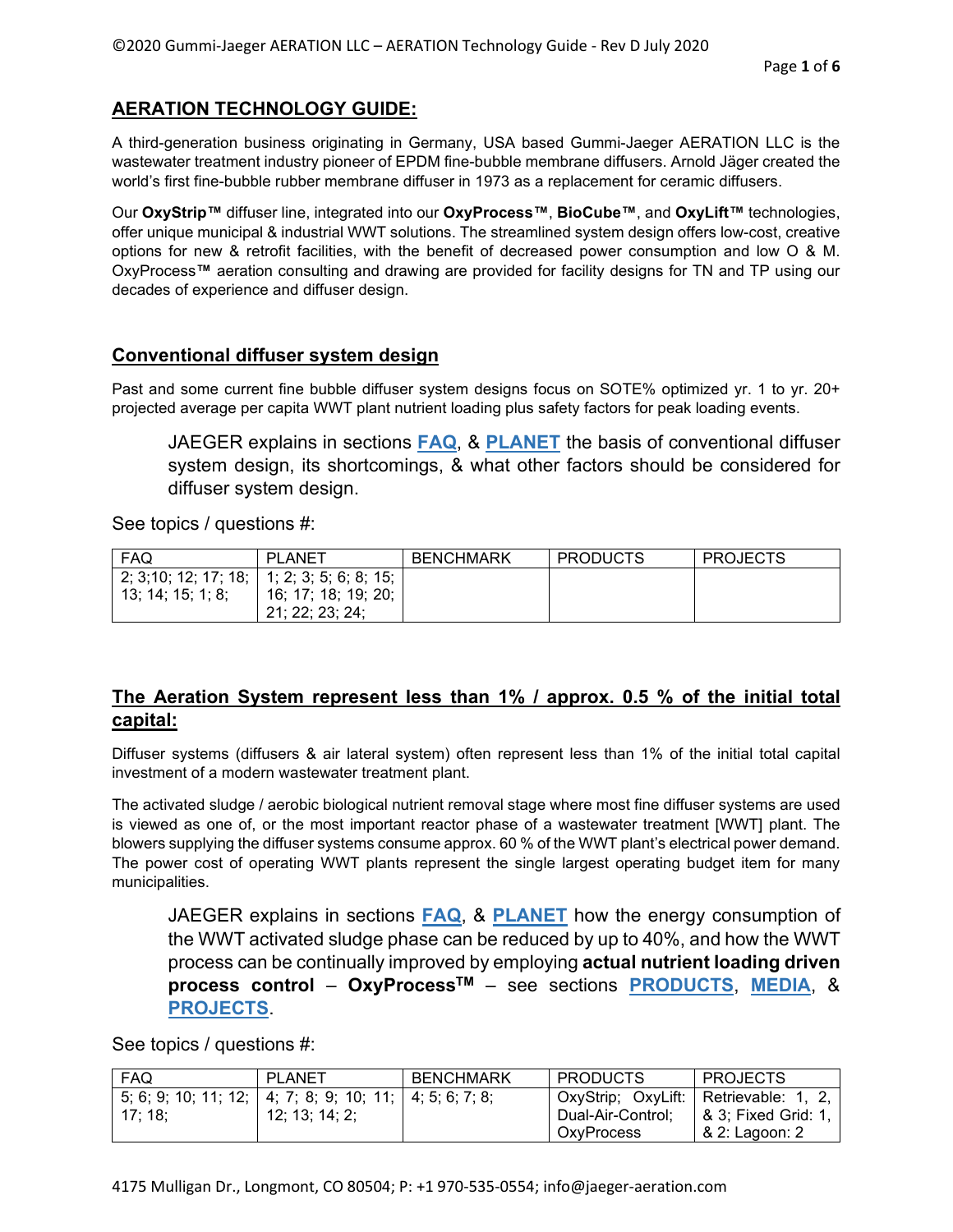# **AERATION TECHNOLOGY GUIDE:**

A third-generation business originating in Germany, USA based Gummi-Jaeger AERATION LLC is the wastewater treatment industry pioneer of EPDM fine-bubble membrane diffusers. Arnold Jäger created the world's first fine-bubble rubber membrane diffuser in 1973 as a replacement for ceramic diffusers.

Our **OxyStrip™** diffuser line, integrated into our **OxyProcess™**, **BioCube™**, and **OxyLift™** technologies, offer unique municipal & industrial WWT solutions. The streamlined system design offers low-cost, creative options for new & retrofit facilities, with the benefit of decreased power consumption and low O & M. OxyProcess**™** aeration consulting and drawing are provided for facility designs for TN and TP using our decades of experience and diffuser design.

### **Conventional diffuser system design**

Past and some current fine bubble diffuser system designs focus on SOTE% optimized yr. 1 to yr. 20+ projected average per capita WWT plant nutrient loading plus safety factors for peak loading events.

JAEGER explains in sections **FAQ**, & **PLANET** the basis of conventional diffuser system design, its shortcomings, & what other factors should be considered for diffuser system design.

See topics / questions #:

| FAQ                                        | <b>PLANET</b>       | <b>BENCHMARK</b> | <b>PRODUCTS</b> | <b>PROJECTS</b> |
|--------------------------------------------|---------------------|------------------|-----------------|-----------------|
| 2; 3;10; 12; 17; 18; 1; 2; 3; 5; 6; 8; 15; |                     |                  |                 |                 |
| 13; 14; 15; 1; 8;                          | 16; 17; 18; 19; 20; |                  |                 |                 |
|                                            | 21: 22: 23: 24:     |                  |                 |                 |

### **The Aeration System represent less than 1% / approx. 0.5 % of the initial total capital:**

Diffuser systems (diffusers & air lateral system) often represent less than 1% of the initial total capital investment of a modern wastewater treatment plant.

The activated sludge / aerobic biological nutrient removal stage where most fine diffuser systems are used is viewed as one of, or the most important reactor phase of a wastewater treatment [WWT] plant. The blowers supplying the diffuser systems consume approx. 60 % of the WWT plant's electrical power demand. The power cost of operating WWT plants represent the single largest operating budget item for many municipalities.

JAEGER explains in sections **FAQ**, & **PLANET** how the energy consumption of the WWT activated sludge phase can be reduced by up to 40%, and how the WWT process can be continually improved by employing **actual nutrient loading driven process control** – **OxyProcessTM** – see sections **PRODUCTS**, **MEDIA**, & **PROJECTS**.

| <b>FAQ</b> | PLANET                                                  | <b>BENCHMARK</b> | <b>PRODUCTS</b>   | <b>PROJECTS</b>                       |
|------------|---------------------------------------------------------|------------------|-------------------|---------------------------------------|
|            | 5; 6; 9; 10; 11; 12; 4; 7; 8; 9; 10; 11; 4; 5; 6; 7; 8; |                  |                   | OxyStrip; OxyLift: Retrievable: 1, 2, |
| 17:18:     | 12; 13; 14; 2;                                          |                  | Dual-Air-Control; | & 3; Fixed Grid: 1,                   |
|            |                                                         |                  | <b>OxvProcess</b> | & 2: Lagoon: 2                        |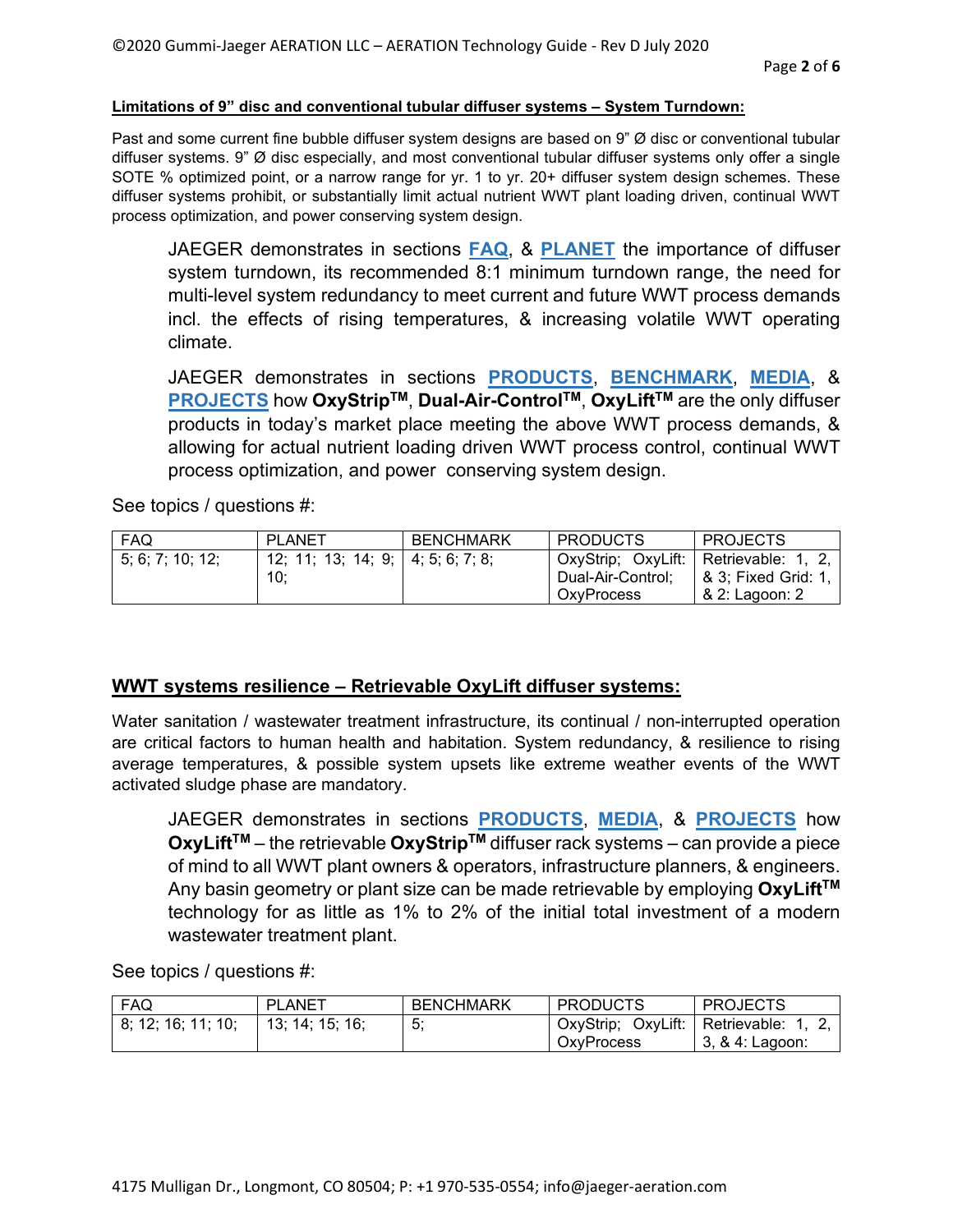#### **Limitations of 9" disc and conventional tubular diffuser systems – System Turndown:**

Past and some current fine bubble diffuser system designs are based on 9" Ø disc or conventional tubular diffuser systems. 9" Ø disc especially, and most conventional tubular diffuser systems only offer a single SOTE % optimized point, or a narrow range for yr. 1 to yr. 20+ diffuser system design schemes. These diffuser systems prohibit, or substantially limit actual nutrient WWT plant loading driven, continual WWT process optimization, and power conserving system design.

JAEGER demonstrates in sections **FAQ**, & **PLANET** the importance of diffuser system turndown, its recommended 8:1 minimum turndown range, the need for multi-level system redundancy to meet current and future WWT process demands incl. the effects of rising temperatures, & increasing volatile WWT operating climate.

JAEGER demonstrates in sections **PRODUCTS**, **BENCHMARK**, **MEDIA**, & **PROJECTS** how **OxyStripTM**, **Dual-Air-ControlTM**, **OxyLiftTM** are the only diffuser products in today's market place meeting the above WWT process demands, & allowing for actual nutrient loading driven WWT process control, continual WWT process optimization, and power conserving system design.

See topics / questions #:

| FAQ              | PLANET                            | <b>BENCHMARK</b> | <b>PRODUCTS</b>   | <b>PROJECTS</b>                         |
|------------------|-----------------------------------|------------------|-------------------|-----------------------------------------|
| 5; 6; 7; 10; 12; | 12; 11; 13; 14; 9; 4; 5; 6; 7; 8; |                  |                   | OxyStrip; OxyLift:   Retrievable: 1, 2, |
|                  | 10:                               |                  | Dual-Air-Control; | l & 3; Fixed Grid: 1, I                 |
|                  |                                   |                  | <b>OxvProcess</b> | & 2: Lagoon: 2                          |

### **WWT systems resilience – Retrievable OxyLift diffuser systems:**

Water sanitation / wastewater treatment infrastructure, its continual / non-interrupted operation are critical factors to human health and habitation. System redundancy, & resilience to rising average temperatures, & possible system upsets like extreme weather events of the WWT activated sludge phase are mandatory.

JAEGER demonstrates in sections **PRODUCTS**, **MEDIA**, & **PROJECTS** how **OxyLiftTM** – the retrievable **OxyStripTM** diffuser rack systems – can provide a piece of mind to all WWT plant owners & operators, infrastructure planners, & engineers. Any basin geometry or plant size can be made retrievable by employing **OxyLiftTM** technology for as little as 1% to 2% of the initial total investment of a modern wastewater treatment plant.

| FAQ                | <b>PLANET</b>   | <b>BENCHMARK</b> | <b>PRODUCTS</b>    | <b>PROJECTS</b>    |
|--------------------|-----------------|------------------|--------------------|--------------------|
| 8; 12; 16; 11; 10; | 13; 14; 15; 16; | 5:               | OxyStrip; OxyLift: | Retrievable: 1, 2, |
|                    |                 |                  | OxvProcess         | 3, & 4: Lagoon:    |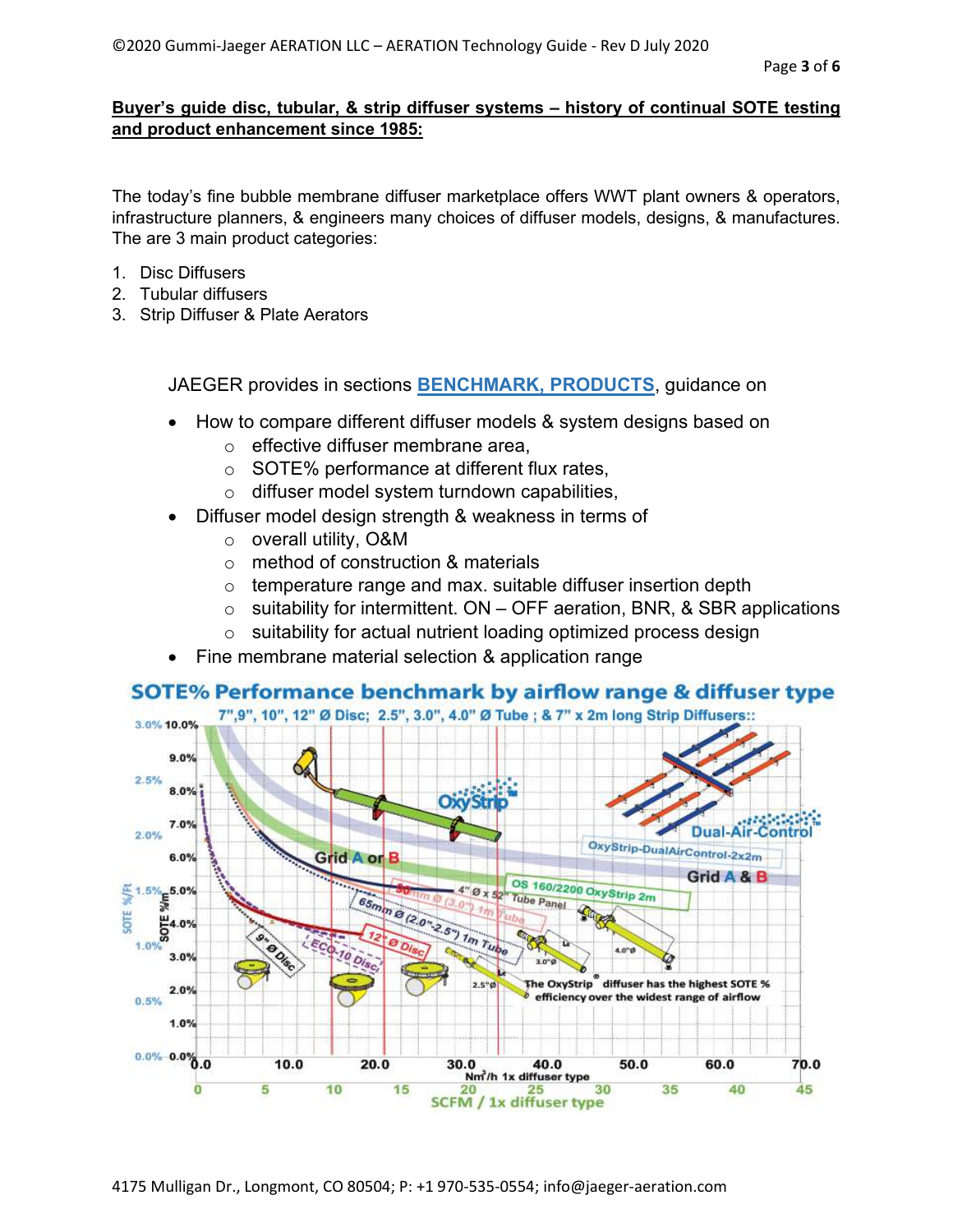### **Buyer's guide disc, tubular, & strip diffuser systems – history of continual SOTE testing and product enhancement since 1985:**

The today's fine bubble membrane diffuser marketplace offers WWT plant owners & operators, infrastructure planners, & engineers many choices of diffuser models, designs, & manufactures. The are 3 main product categories:

- 1. Disc Diffusers
- 2. Tubular diffusers
- 3. Strip Diffuser & Plate Aerators

JAEGER provides in sections **BENCHMARK, PRODUCTS**, guidance on

- How to compare different diffuser models & system designs based on
	- o effective diffuser membrane area,
	- o SOTE% performance at different flux rates,
	- o diffuser model system turndown capabilities,
- Diffuser model design strength & weakness in terms of
	- o overall utility, O&M
	- o method of construction & materials
	- $\circ$  temperature range and max. suitable diffuser insertion depth
	- $\circ$  suitability for intermittent. ON OFF aeration, BNR, & SBR applications
	- $\circ$  suitability for actual nutrient loading optimized process design
- Fine membrane material selection & application range

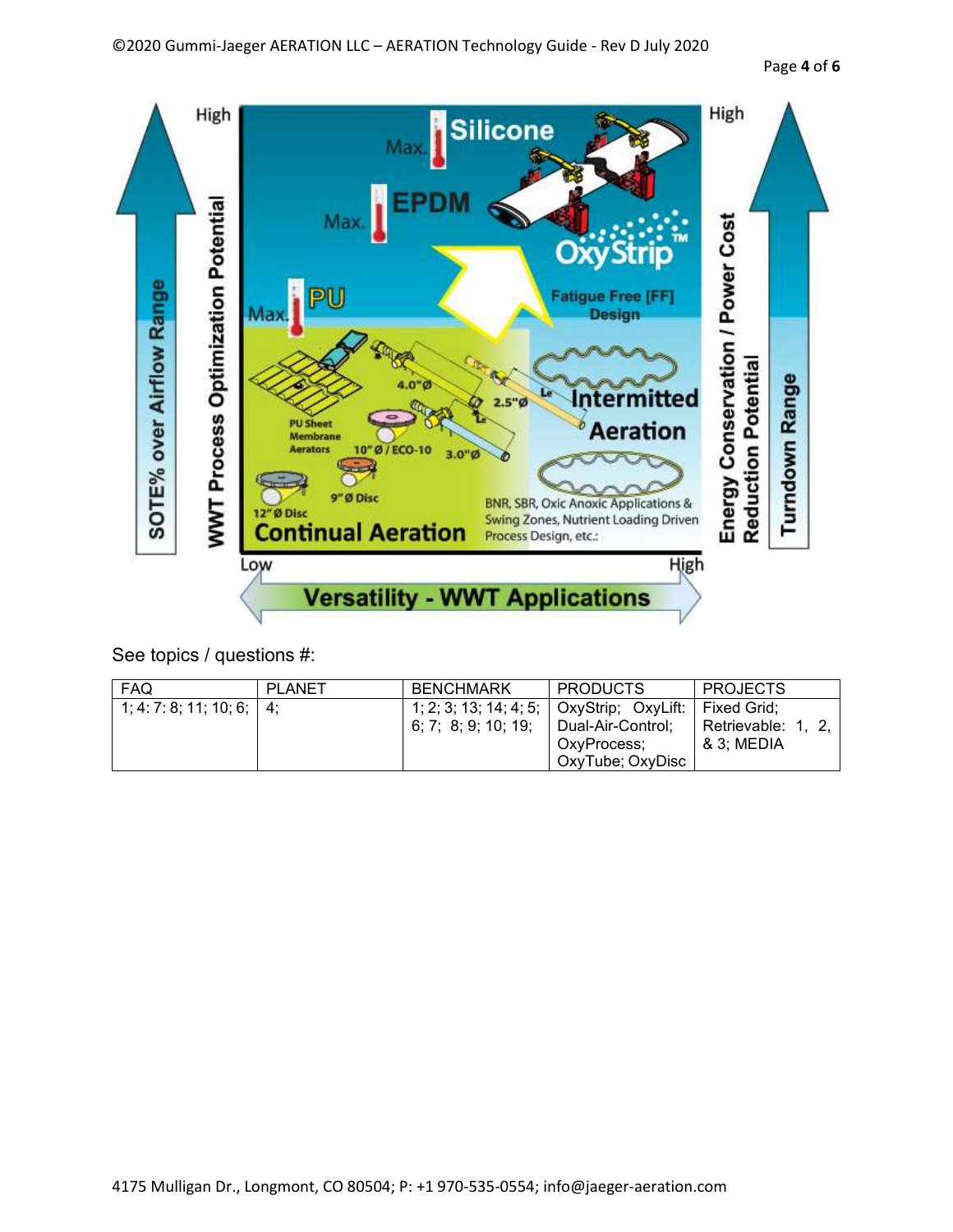

| <b>FAQ</b>                  | PLANET | <b>BENCHMARK</b>                                                 | <b>PRODUCTS</b>                                      | <b>PROJECTS</b>                             |
|-----------------------------|--------|------------------------------------------------------------------|------------------------------------------------------|---------------------------------------------|
| 1; 4: 7: 8; 11; 10; 6;   4; |        | 1; 2; 3; 13; 14; 4; 5; OxyStrip; OxyLift:<br>6; 7; 8; 9; 10; 19; | Dual-Air-Control:<br>OxvProcess:<br>OxyTube; OxyDisc | Fixed Grid:<br>Retrievable: 1<br>& 3: MEDIA |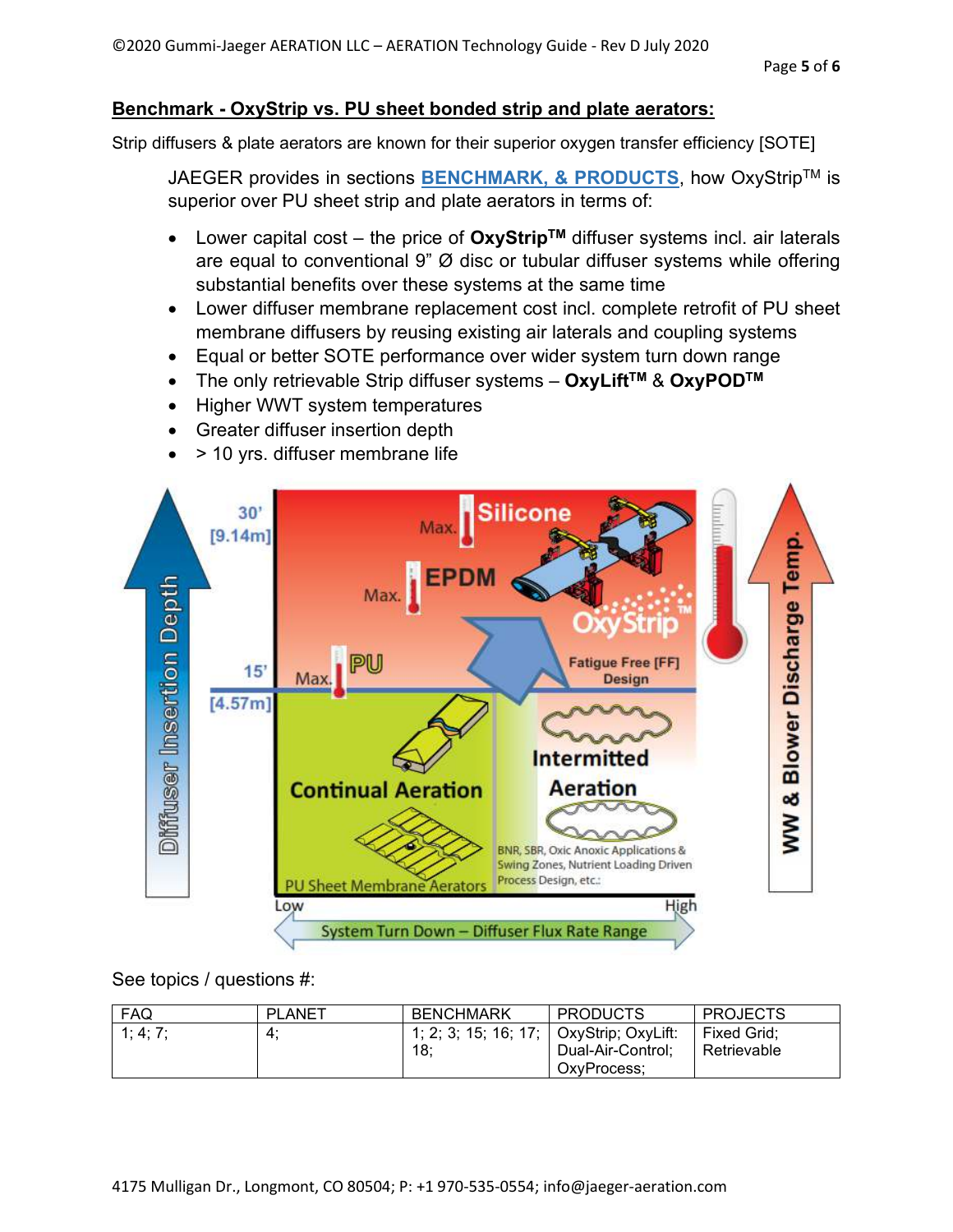# **Benchmark - OxyStrip vs. PU sheet bonded strip and plate aerators:**

Strip diffusers & plate aerators are known for their superior oxygen transfer efficiency [SOTE]

JAEGER provides in sections **BENCHMARK, & PRODUCTS**, how OxyStripTM is superior over PU sheet strip and plate aerators in terms of:

- Lower capital cost the price of **OxyStripTM** diffuser systems incl. air laterals are equal to conventional 9"  $\varnothing$  disc or tubular diffuser systems while offering substantial benefits over these systems at the same time
- Lower diffuser membrane replacement cost incl. complete retrofit of PU sheet membrane diffusers by reusing existing air laterals and coupling systems
- Equal or better SOTE performance over wider system turn down range
- The only retrievable Strip diffuser systems **OxyLiftTM** & **OxyPODTM**
- Higher WWT system temperatures
- Greater diffuser insertion depth
- > 10 yrs. diffuser membrane life



| FAQ      | <b>PLANET</b> | <b>BENCHMARK</b>                               | <b>PRODUCTS</b>                  | <b>PROJECTS</b>            |
|----------|---------------|------------------------------------------------|----------------------------------|----------------------------|
| 1; 4; 7; | 4:            | 1; 2; 3; 15; 16; 17; OxyStrip; OxyLift:<br>18: | Dual-Air-Control;<br>OxvProcess: | Fixed Grid:<br>Retrievable |